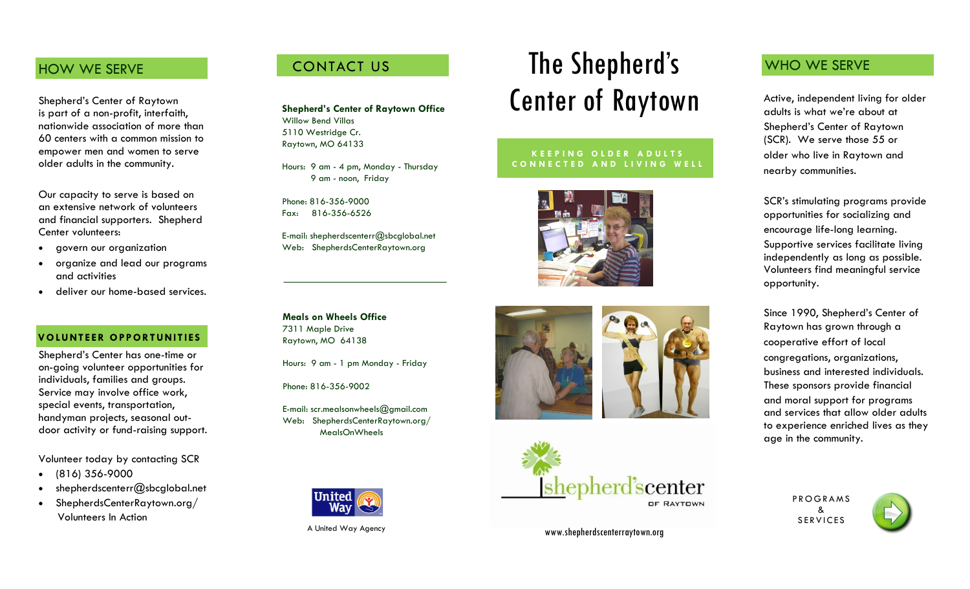### HOW WE SERVE

Shepherd's Center of Raytown is part of a non -profit, interfaith, nationwide association of more than 60 centers with a common mission to empower men and women to serve older adults in the community.

Our capacity to serve is based on an extensive network of volunteers and financial supporters. Shepherd Center volunteers:

- govern our organization
- organize and lead our programs and activities
- deliver our home -based services.

#### **V O LU NT EER O PPOR T U NIT IES**

Shepherd's Center has one -time or on -going volunteer opportunities for individuals, families and groups. Service may involve office work, special events, transportation, handyman projects, seasonal outdoor activity or fund-raising support.

Volunteer today by contacting SCR

- $(816)$  356-9000
- shepherdscenterr@sbcglobal.net
- ShepherdsCenterRaytown.org/ Volunteers In Action

# CONTACT US

**Shepherd's Center of Raytown Office** Willow Bend Villas 5110 Westridge Cr. Raytown, MO 64133

Hours: 9 am - 4 pm, Monday - Thursday 9 am - noon, Friday

Phone: 816-356-9000 Fax: 816 -356 -6526

E -mail: shepherdscenterr@sbcglobal.net Web: ShepherdsCenterRaytown.org

**Meals on Wheels Office** 7311 Maple Drive Raytown, MO 64138

Hours: 9 am - 1 pm Monday - Friday

Phone: 816 -356 -9002

E -mail: scr.mealsonwheels@gmail.com Web: ShepherdsCenterRaytown.org/ MealsOnWheels



A United Way Agency

# The Shepherd's Center of Raytown

#### **L I V I N G A L I F E T H A T M A T T E R S K E E P I N G O L D E R A D U L T S C O N N E C T E D A N D L I V I N G W E L L**







www.shepherdscenterraytown.org

## WHO WE SERVE

Active, independent living for older adults is what we're about at Shepherd's Center of Raytown (SCR). We serve those 55 or older who live in Raytown and nearby communities.

SCR's stimulating programs provide opportunities for socializing and encourage life -long learning. Supportive services facilitate living independently as long as possible. Volunteers find meaningful service opportunity.

Since 1990, Shepherd's Center of Raytown has grown through a cooperative effort of local congregations, organizations, business and interested individuals. These sponsors provide financial and moral support for programs and services that allow older adults to experience enriched lives as they age in the community.

> P R O G R A M S & **SERVICES**